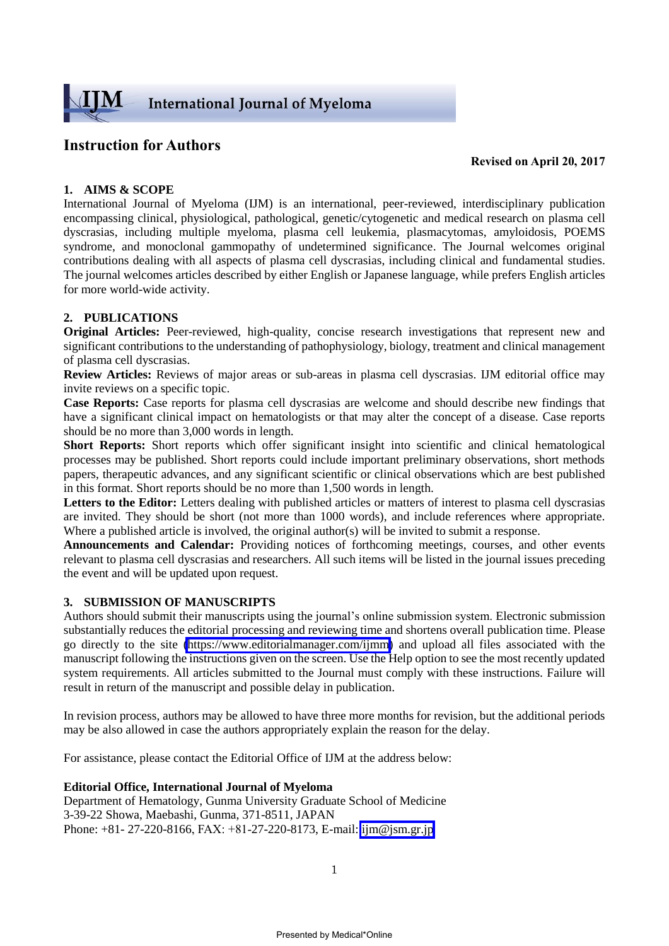

# **Instruction for Authors**

**Revised on April 20, 2017**

# **1. AIMS & SCOPE**

International Journal of Myeloma (IJM) is an international, peer-reviewed, interdisciplinary publication encompassing clinical, physiological, pathological, genetic/cytogenetic and medical research on plasma cell dyscrasias, including multiple myeloma, plasma cell leukemia, plasmacytomas, amyloidosis, POEMS syndrome, and monoclonal gammopathy of undetermined significance. The Journal welcomes original contributions dealing with all aspects of plasma cell dyscrasias, including clinical and fundamental studies. The journal welcomes articles described by either English or Japanese language, while prefers English articles for more world-wide activity.

# **2. PUBLICATIONS**

**Original Articles:** Peer-reviewed, high-quality, concise research investigations that represent new and significant contributions to the understanding of pathophysiology, biology, treatment and clinical management of plasma cell dyscrasias.

**Review Articles:** Reviews of major areas or sub-areas in plasma cell dyscrasias. IJM editorial office may invite reviews on a specific topic.

**Case Reports:** Case reports for plasma cell dyscrasias are welcome and should describe new findings that have a significant clinical impact on hematologists or that may alter the concept of a disease. Case reports should be no more than 3,000 words in length.

**Short Reports:** Short reports which offer significant insight into scientific and clinical hematological processes may be published. Short reports could include important preliminary observations, short methods papers, therapeutic advances, and any significant scientific or clinical observations which are best published in this format. Short reports should be no more than 1,500 words in length.

Letters to the Editor: Letters dealing with published articles or matters of interest to plasma cell dyscrasias are invited. They should be short (not more than 1000 words), and include references where appropriate. Where a published article is involved, the original author(s) will be invited to submit a response.

**Announcements and Calendar:** Providing notices of forthcoming meetings, courses, and other events relevant to plasma cell dyscrasias and researchers. All such items will be listed in the journal issues preceding the event and will be updated upon request.

## **3. SUBMISSION OF MANUSCRIPTS**

Authors should submit their manuscripts using the journal's online submission system. Electronic submission substantially reduces the editorial processing and reviewing time and shortens overall publication time. Please go directly to the site [\(https://www.editorialmanager.com/ijmm\)](https://www.editorialmanager.com/ijmm) and upload all files associated with the manuscript following the instructions given on the screen. Use the Help option to see the most recently updated system requirements. All articles submitted to the Journal must comply with these instructions. Failure will result in return of the manuscript and possible delay in publication.

In revision process, authors may be allowed to have three more months for revision, but the additional periods may be also allowed in case the authors appropriately explain the reason for the delay.

For assistance, please contact the Editorial Office of IJM at the address below:

#### **Editorial Office, International Journal of Myeloma**

Department of Hematology, Gunma University Graduate School of Medicine 3-39-22 Showa, Maebashi, Gunma, 371-8511, JAPAN Phone: +81- 27-220-8166, FAX: +81-27-220-8173, E-mail: [ijm@jsm.gr.jp](mailto:ijm@jsm.gr.jp)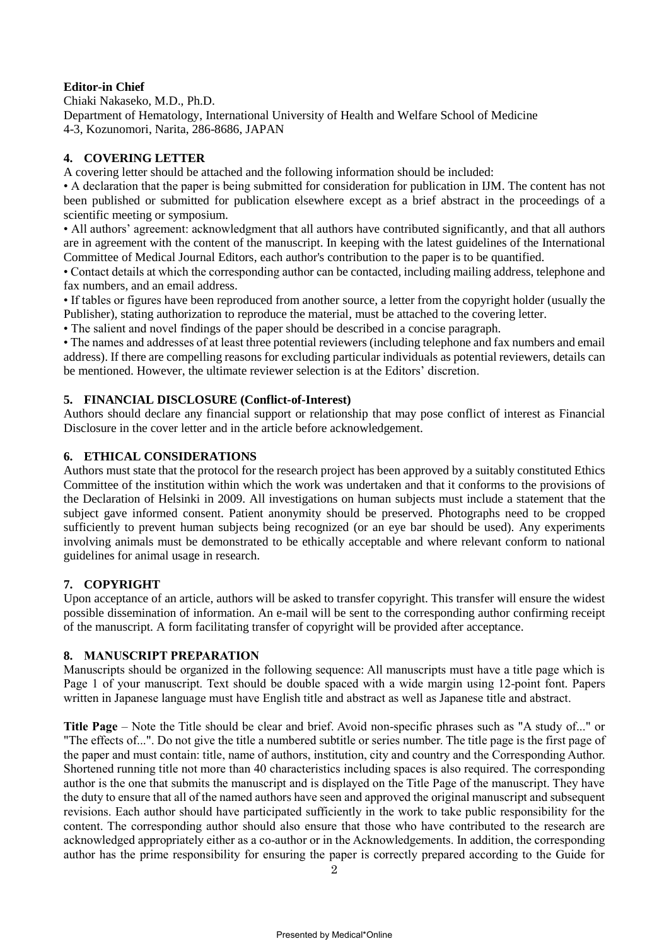# **Editor-in Chief**

Chiaki Nakaseko, M.D., Ph.D. Department of Hematology, International University of Health and Welfare School of Medicine 4-3, Kozunomori, Narita, 286-8686, JAPAN

# **4. COVERING LETTER**

A covering letter should be attached and the following information should be included:

• A declaration that the paper is being submitted for consideration for publication in IJM. The content has not been published or submitted for publication elsewhere except as a brief abstract in the proceedings of a scientific meeting or symposium.

• All authors' agreement: acknowledgment that all authors have contributed significantly, and that all authors are in agreement with the content of the manuscript. In keeping with the latest guidelines of the International Committee of Medical Journal Editors, each author's contribution to the paper is to be quantified.

• Contact details at which the corresponding author can be contacted, including mailing address, telephone and fax numbers, and an email address.

• If tables or figures have been reproduced from another source, a letter from the copyright holder (usually the Publisher), stating authorization to reproduce the material, must be attached to the covering letter.

• The salient and novel findings of the paper should be described in a concise paragraph.

• The names and addresses of at least three potential reviewers (including telephone and fax numbers and email address). If there are compelling reasons for excluding particular individuals as potential reviewers, details can be mentioned. However, the ultimate reviewer selection is at the Editors' discretion.

## **5. FINANCIAL DISCLOSURE (Conflict-of-Interest)**

Authors should declare any financial support or relationship that may pose conflict of interest as Financial Disclosure in the cover letter and in the article before acknowledgement.

## **6. ETHICAL CONSIDERATIONS**

Authors must state that the protocol for the research project has been approved by a suitably constituted Ethics Committee of the institution within which the work was undertaken and that it conforms to the provisions of the Declaration of Helsinki in 2009. All investigations on human subjects must include a statement that the subject gave informed consent. Patient anonymity should be preserved. Photographs need to be cropped sufficiently to prevent human subjects being recognized (or an eye bar should be used). Any experiments involving animals must be demonstrated to be ethically acceptable and where relevant conform to national guidelines for animal usage in research.

# **7. COPYRIGHT**

Upon acceptance of an article, authors will be asked to transfer copyright. This transfer will ensure the widest possible dissemination of information. An e-mail will be sent to the corresponding author confirming receipt of the manuscript. A form facilitating transfer of copyright will be provided after acceptance.

## **8. MANUSCRIPT PREPARATION**

Manuscripts should be organized in the following sequence: All manuscripts must have a title page which is Page 1 of your manuscript. Text should be double spaced with a wide margin using 12-point font. Papers written in Japanese language must have English title and abstract as well as Japanese title and abstract.

**[Title Page](http://www.elsevier.com/inca/publications/misc/lrtitlepage.pdf)** – Note the Title should be clear and brief. Avoid non-specific phrases such as "A study of..." or "The effects of...". Do not give the title a numbered subtitle or series number. The title page is the first page of the paper and must contain: title, name of authors, institution, city and country and the Corresponding Author. Shortened running title not more than 40 characteristics including spaces is also required. The corresponding author is the one that submits the manuscript and is displayed on the Title Page of the manuscript. They have the duty to ensure that all of the named authors have seen and approved the original manuscript and subsequent revisions. Each author should have participated sufficiently in the work to take public responsibility for the content. The corresponding author should also ensure that those who have contributed to the research are acknowledged appropriately either as a co-author or in the Acknowledgements. In addition, the corresponding author has the prime responsibility for ensuring the paper is correctly prepared according to the Guide for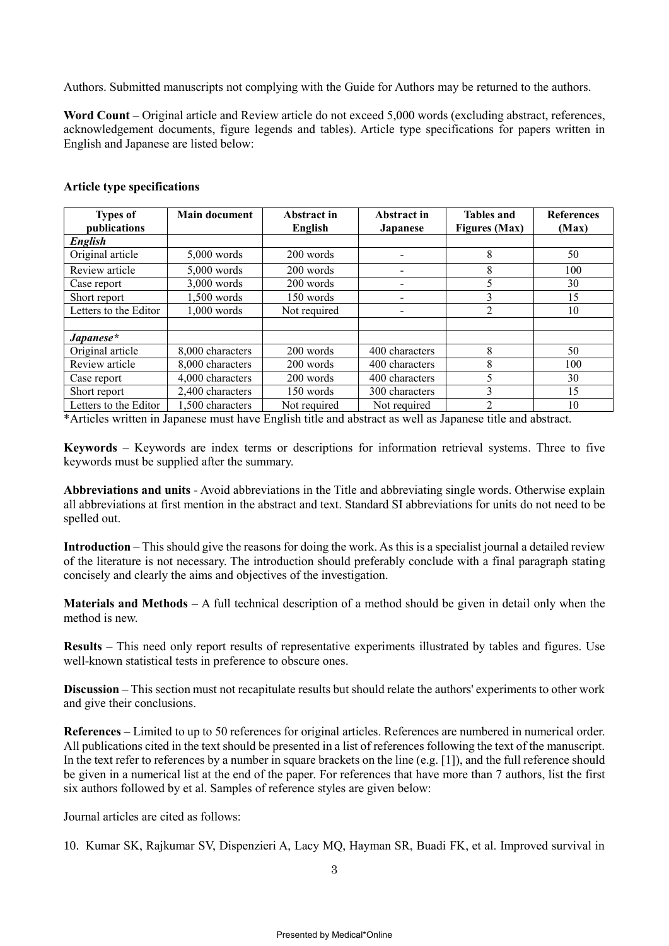Authors. Submitted manuscripts not complying with the Guide for Authors may be returned to the authors.

**Word Count** – Original article and Review article do not exceed 5,000 words (excluding abstract, references, acknowledgement documents, figure legends and tables). Article type specifications for papers written in English and Japanese are listed below:

| <b>Types of</b><br>publications | <b>Main document</b> | Abstract in<br>English | Abstract in<br><b>Japanese</b> | <b>Tables and</b><br><b>Figures</b> (Max) | <b>References</b><br>(Max) |
|---------------------------------|----------------------|------------------------|--------------------------------|-------------------------------------------|----------------------------|
| English                         |                      |                        |                                |                                           |                            |
| Original article                | $5,000$ words        | 200 words              |                                | 8                                         | 50                         |
| Review article                  | $5,000$ words        | 200 words              | $\qquad \qquad \blacksquare$   | 8                                         | 100                        |
| Case report                     | $3,000$ words        | 200 words              | $\overline{\phantom{a}}$       | 5                                         | 30                         |
| Short report                    | 1,500 words          | 150 words              | $\overline{\phantom{a}}$       | 3                                         | 15                         |
| Letters to the Editor           | $1,000$ words        | Not required           | $\overline{\phantom{a}}$       | 2                                         | 10                         |
|                                 |                      |                        |                                |                                           |                            |
| Japanese*                       |                      |                        |                                |                                           |                            |
| Original article                | 8,000 characters     | 200 words              | 400 characters                 | 8                                         | 50                         |
| Review article                  | 8,000 characters     | 200 words              | 400 characters                 | 8                                         | 100                        |
| Case report                     | 4,000 characters     | 200 words              | 400 characters                 | 5                                         | 30                         |
| Short report                    | 2,400 characters     | 150 words              | 300 characters                 | 3                                         | 15                         |
| Letters to the Editor           | 1.500 characters     | Not required           | Not required                   | 2                                         | 10                         |

#### **Article type specifications**

\*Articles written in Japanese must have English title and abstract as well as Japanese title and abstract.

**Keywords** – Keywords are index terms or descriptions for information retrieval systems. Three to five keywords must be supplied after the summary.

**Abbreviations and units** - Avoid abbreviations in the Title and abbreviating single words. Otherwise explain all abbreviations at first mention in the abstract and text. Standard SI abbreviations for units do not need to be spelled out.

**Introduction** – This should give the reasons for doing the work. As this is a specialist journal a detailed review of the literature is not necessary. The introduction should preferably conclude with a final paragraph stating concisely and clearly the aims and objectives of the investigation.

**Materials and Methods** – A full technical description of a method should be given in detail only when the method is new.

**Results** – This need only report results of representative experiments illustrated by tables and figures. Use well-known statistical tests in preference to obscure ones.

**Discussion** – This section must not recapitulate results but should relate the authors' experiments to other work and give their conclusions.

**References** – Limited to up to 50 references for original articles. References are numbered in numerical order. All publications cited in the text should be presented in a list of references following the text of the manuscript. In the text refer to references by a number in square brackets on the line (e.g. [1]), and the full reference should be given in a numerical list at the end of the paper. For references that have more than 7 authors, list the first six authors followed by et al. Samples of reference styles are given below:

Journal articles are cited as follows:

10. Kumar SK, Rajkumar SV, Dispenzieri A, Lacy MQ, Hayman SR, Buadi FK, et al. Improved survival in